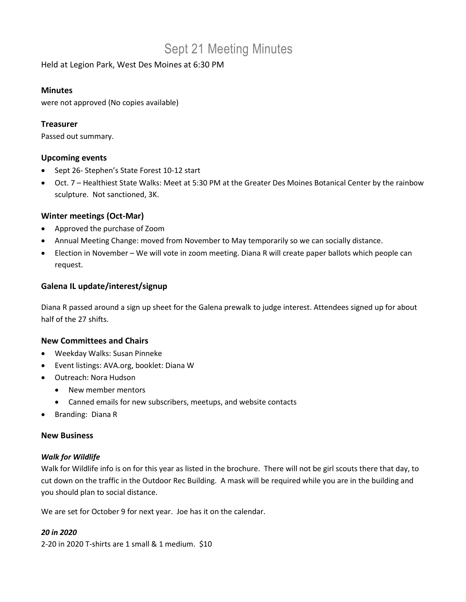# Sept 21 Meeting Minutes

Held at Legion Park, West Des Moines at 6:30 PM

#### **Minutes**

were not approved (No copies available)

# **Treasurer**

Passed out summary.

#### **Upcoming events**

- Sept 26- Stephen's State Forest 10-12 start
- Oct. 7 Healthiest State Walks: Meet at 5:30 PM at the Greater Des Moines Botanical Center by the rainbow sculpture. Not sanctioned, 3K.

## **Winter meetings (Oct-Mar)**

- Approved the purchase of Zoom
- Annual Meeting Change: moved from November to May temporarily so we can socially distance.
- Election in November We will vote in zoom meeting. Diana R will create paper ballots which people can request.

## **Galena IL update/interest/signup**

Diana R passed around a sign up sheet for the Galena prewalk to judge interest. Attendees signed up for about half of the 27 shifts.

#### **New Committees and Chairs**

- Weekday Walks: Susan Pinneke
- Event listings: AVA.org, booklet: Diana W
- Outreach: Nora Hudson
	- New member mentors
	- Canned emails for new subscribers, meetups, and website contacts
- Branding: Diana R

#### **New Business**

#### *Walk for Wildlife*

Walk for Wildlife info is on for this year as listed in the brochure. There will not be girl scouts there that day, to cut down on the traffic in the Outdoor Rec Building. A mask will be required while you are in the building and you should plan to social distance.

We are set for October 9 for next year. Joe has it on the calendar.

#### *20 in 2020*

2-20 in 2020 T-shirts are 1 small & 1 medium. \$10